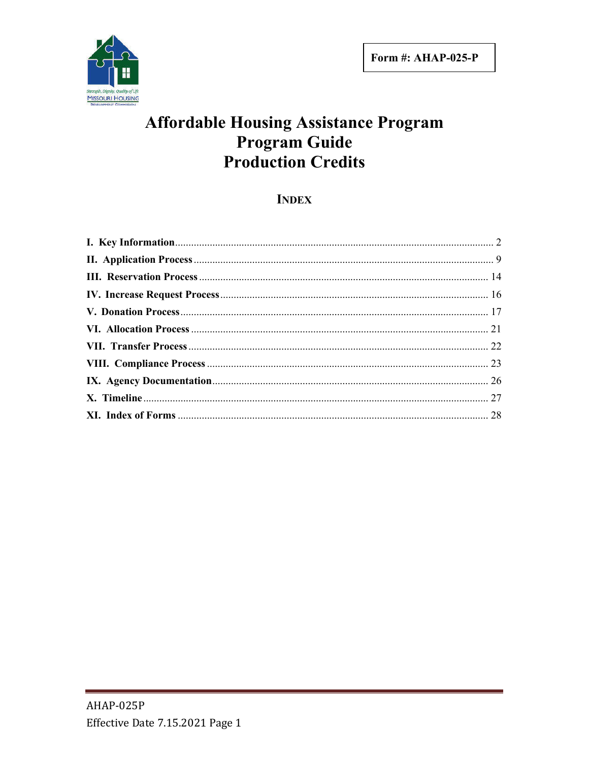

# **Affordable Housing Assistance Program Program Guide Production Credits**

## **INDEX**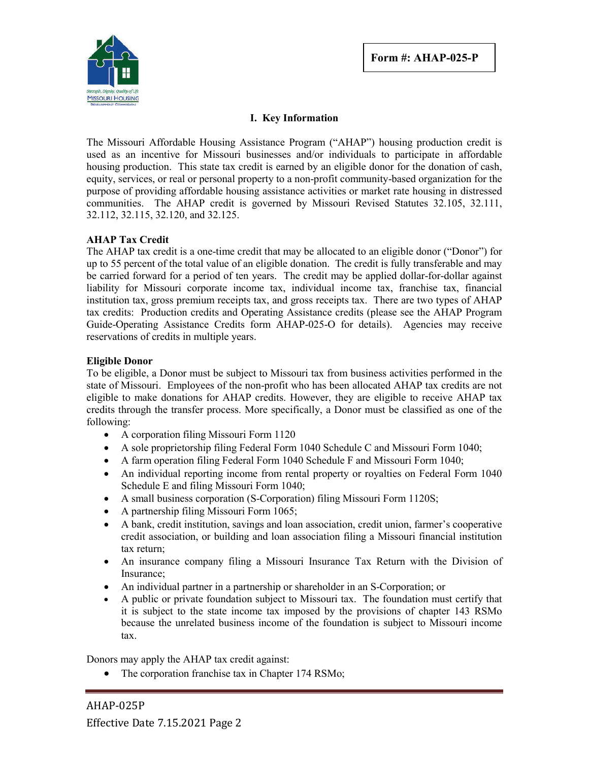

## **I. Key Information**

The Missouri Affordable Housing Assistance Program ("AHAP") housing production credit is used as an incentive for Missouri businesses and/or individuals to participate in affordable housing production. This state tax credit is earned by an eligible donor for the donation of cash, equity, services, or real or personal property to a non-profit community-based organization for the purpose of providing affordable housing assistance activities or market rate housing in distressed communities. The AHAP credit is governed by Missouri Revised Statutes 32.105, 32.111, 32.112, 32.115, 32.120, and 32.125.

#### **AHAP Tax Credit**

The AHAP tax credit is a one-time credit that may be allocated to an eligible donor ("Donor") for up to 55 percent of the total value of an eligible donation. The credit is fully transferable and may be carried forward for a period of ten years. The credit may be applied dollar-for-dollar against liability for Missouri corporate income tax, individual income tax, franchise tax, financial institution tax, gross premium receipts tax, and gross receipts tax. There are two types of AHAP tax credits: Production credits and Operating Assistance credits (please see the AHAP Program Guide-Operating Assistance Credits form AHAP-025-O for details). Agencies may receive reservations of credits in multiple years.

#### **Eligible Donor**

To be eligible, a Donor must be subject to Missouri tax from business activities performed in the state of Missouri. Employees of the non-profit who has been allocated AHAP tax credits are not eligible to make donations for AHAP credits. However, they are eligible to receive AHAP tax credits through the transfer process. More specifically, a Donor must be classified as one of the following:

- A corporation filing Missouri Form 1120
- A sole proprietorship filing Federal Form 1040 Schedule C and Missouri Form 1040;
- A farm operation filing Federal Form 1040 Schedule F and Missouri Form 1040;
- An individual reporting income from rental property or royalties on Federal Form 1040 Schedule E and filing Missouri Form 1040;
- A small business corporation (S-Corporation) filing Missouri Form 1120S;
- A partnership filing Missouri Form 1065;
- A bank, credit institution, savings and loan association, credit union, farmer's cooperative credit association, or building and loan association filing a Missouri financial institution tax return;
- An insurance company filing a Missouri Insurance Tax Return with the Division of Insurance;
- An individual partner in a partnership or shareholder in an S-Corporation; or
- A public or private foundation subject to Missouri tax. The foundation must certify that it is subject to the state income tax imposed by the provisions of chapter 143 RSMo because the unrelated business income of the foundation is subject to Missouri income tax.

Donors may apply the AHAP tax credit against:

• The corporation franchise tax in Chapter 174 RSMo;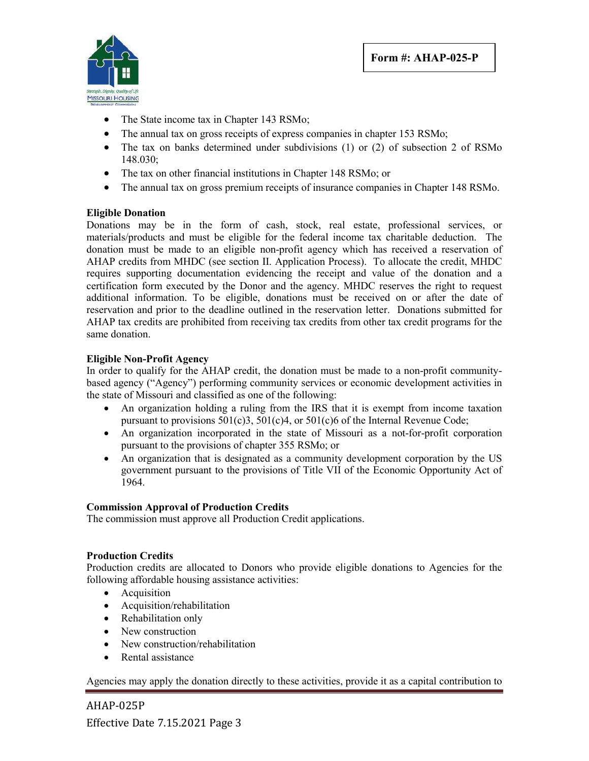

- The State income tax in Chapter 143 RSMo;
- The annual tax on gross receipts of express companies in chapter 153 RSMo;
- The tax on banks determined under subdivisions (1) or (2) of subsection 2 of RSMo 148.030;
- The tax on other financial institutions in Chapter 148 RSMo; or
- The annual tax on gross premium receipts of insurance companies in Chapter 148 RSMo.

## **Eligible Donation**

Donations may be in the form of cash, stock, real estate, professional services, or materials/products and must be eligible for the federal income tax charitable deduction. The donation must be made to an eligible non-profit agency which has received a reservation of AHAP credits from MHDC (see section II. Application Process). To allocate the credit, MHDC requires supporting documentation evidencing the receipt and value of the donation and a certification form executed by the Donor and the agency. MHDC reserves the right to request additional information. To be eligible, donations must be received on or after the date of reservation and prior to the deadline outlined in the reservation letter. Donations submitted for AHAP tax credits are prohibited from receiving tax credits from other tax credit programs for the same donation.

## **Eligible Non-Profit Agency**

In order to qualify for the AHAP credit, the donation must be made to a non-profit communitybased agency ("Agency") performing community services or economic development activities in the state of Missouri and classified as one of the following:

- An organization holding a ruling from the IRS that it is exempt from income taxation pursuant to provisions 501(c)3, 501(c)4, or 501(c)6 of the Internal Revenue Code;
- An organization incorporated in the state of Missouri as a not-for-profit corporation pursuant to the provisions of chapter 355 RSMo; or
- An organization that is designated as a community development corporation by the US government pursuant to the provisions of Title VII of the Economic Opportunity Act of 1964.

#### **Commission Approval of Production Credits**

The commission must approve all Production Credit applications.

#### **Production Credits**

Production credits are allocated to Donors who provide eligible donations to Agencies for the following affordable housing assistance activities:

- Acquisition
- Acquisition/rehabilitation
- Rehabilitation only
- New construction
- New construction/rehabilitation
- Rental assistance

Agencies may apply the donation directly to these activities, provide it as a capital contribution to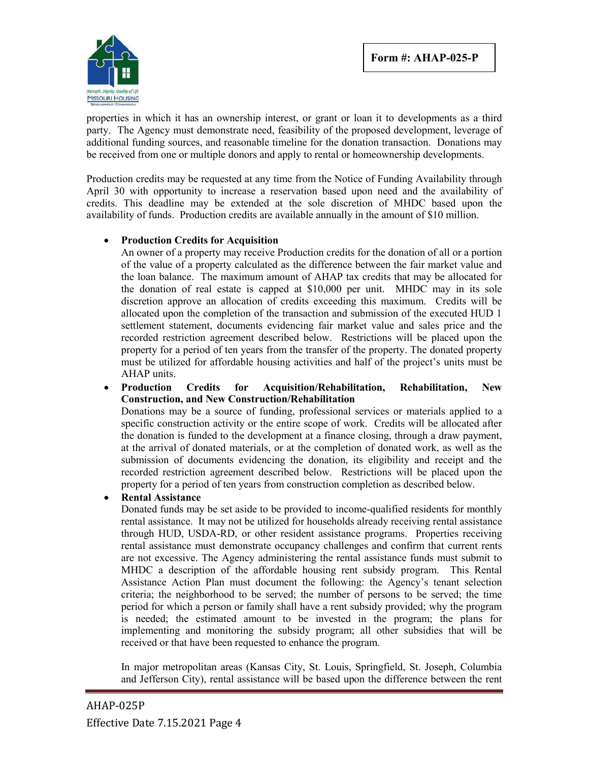

properties in which it has an ownership interest, or grant or loan it to developments as a third party. The Agency must demonstrate need, feasibility of the proposed development, leverage of additional funding sources, and reasonable timeline for the donation transaction. Donations may be received from one or multiple donors and apply to rental or homeownership developments.

Production credits may be requested at any time from the Notice of Funding Availability through April 30 with opportunity to increase a reservation based upon need and the availability of credits. This deadline may be extended at the sole discretion of MHDC based upon the availability of funds. Production credits are available annually in the amount of \$10 million.

#### **Production Credits for Acquisition**

An owner of a property may receive Production credits for the donation of all or a portion of the value of a property calculated as the difference between the fair market value and the loan balance. The maximum amount of AHAP tax credits that may be allocated for the donation of real estate is capped at \$10,000 per unit. MHDC may in its sole discretion approve an allocation of credits exceeding this maximum. Credits will be allocated upon the completion of the transaction and submission of the executed HUD 1 settlement statement, documents evidencing fair market value and sales price and the recorded restriction agreement described below. Restrictions will be placed upon the property for a period of ten years from the transfer of the property. The donated property must be utilized for affordable housing activities and half of the project's units must be AHAP units.

 **Production Credits for Acquisition/Rehabilitation, Rehabilitation, New Construction, and New Construction/Rehabilitation**

Donations may be a source of funding, professional services or materials applied to a specific construction activity or the entire scope of work. Credits will be allocated after the donation is funded to the development at a finance closing, through a draw payment, at the arrival of donated materials, or at the completion of donated work, as well as the submission of documents evidencing the donation, its eligibility and receipt and the recorded restriction agreement described below. Restrictions will be placed upon the property for a period of ten years from construction completion as described below.

#### **Rental Assistance**

Donated funds may be set aside to be provided to income-qualified residents for monthly rental assistance. It may not be utilized for households already receiving rental assistance through HUD, USDA-RD, or other resident assistance programs. Properties receiving rental assistance must demonstrate occupancy challenges and confirm that current rents are not excessive. The Agency administering the rental assistance funds must submit to MHDC a description of the affordable housing rent subsidy program. This Rental Assistance Action Plan must document the following: the Agency's tenant selection criteria; the neighborhood to be served; the number of persons to be served; the time period for which a person or family shall have a rent subsidy provided; why the program is needed; the estimated amount to be invested in the program; the plans for implementing and monitoring the subsidy program; all other subsidies that will be received or that have been requested to enhance the program.

In major metropolitan areas (Kansas City, St. Louis, Springfield, St. Joseph, Columbia and Jefferson City), rental assistance will be based upon the difference between the rent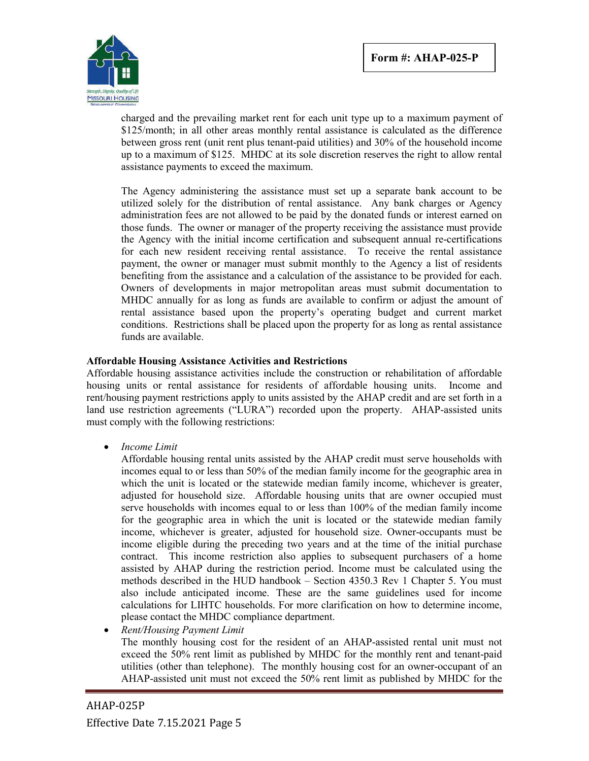

charged and the prevailing market rent for each unit type up to a maximum payment of \$125/month; in all other areas monthly rental assistance is calculated as the difference between gross rent (unit rent plus tenant-paid utilities) and 30% of the household income up to a maximum of \$125. MHDC at its sole discretion reserves the right to allow rental assistance payments to exceed the maximum.

The Agency administering the assistance must set up a separate bank account to be utilized solely for the distribution of rental assistance. Any bank charges or Agency administration fees are not allowed to be paid by the donated funds or interest earned on those funds. The owner or manager of the property receiving the assistance must provide the Agency with the initial income certification and subsequent annual re-certifications for each new resident receiving rental assistance. To receive the rental assistance payment, the owner or manager must submit monthly to the Agency a list of residents benefiting from the assistance and a calculation of the assistance to be provided for each. Owners of developments in major metropolitan areas must submit documentation to MHDC annually for as long as funds are available to confirm or adjust the amount of rental assistance based upon the property's operating budget and current market conditions. Restrictions shall be placed upon the property for as long as rental assistance funds are available.

#### **Affordable Housing Assistance Activities and Restrictions**

Affordable housing assistance activities include the construction or rehabilitation of affordable housing units or rental assistance for residents of affordable housing units. Income and rent/housing payment restrictions apply to units assisted by the AHAP credit and are set forth in a land use restriction agreements ("LURA") recorded upon the property. AHAP-assisted units must comply with the following restrictions:

*Income Limit*

Affordable housing rental units assisted by the AHAP credit must serve households with incomes equal to or less than 50% of the median family income for the geographic area in which the unit is located or the statewide median family income, whichever is greater, adjusted for household size. Affordable housing units that are owner occupied must serve households with incomes equal to or less than 100% of the median family income for the geographic area in which the unit is located or the statewide median family income, whichever is greater, adjusted for household size. Owner-occupants must be income eligible during the preceding two years and at the time of the initial purchase contract. This income restriction also applies to subsequent purchasers of a home assisted by AHAP during the restriction period. Income must be calculated using the methods described in the HUD handbook – Section 4350.3 Rev 1 Chapter 5. You must also include anticipated income. These are the same guidelines used for income calculations for LIHTC households. For more clarification on how to determine income, please contact the MHDC compliance department.

*Rent/Housing Payment Limit*

The monthly housing cost for the resident of an AHAP-assisted rental unit must not exceed the 50% rent limit as published by MHDC for the monthly rent and tenant-paid utilities (other than telephone). The monthly housing cost for an owner-occupant of an AHAP-assisted unit must not exceed the 50% rent limit as published by MHDC for the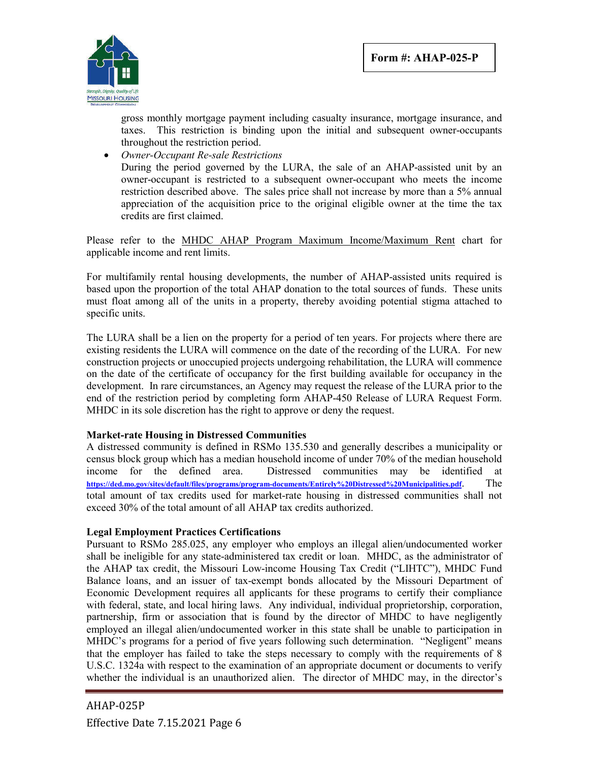

gross monthly mortgage payment including casualty insurance, mortgage insurance, and taxes. This restriction is binding upon the initial and subsequent owner-occupants throughout the restriction period.

 *Owner-Occupant Re-sale Restrictions* During the period governed by the LURA, the sale of an AHAP-assisted unit by an owner-occupant is restricted to a subsequent owner-occupant who meets the income restriction described above. The sales price shall not increase by more than a 5% annual appreciation of the acquisition price to the original eligible owner at the time the tax credits are first claimed.

Please refer to the MHDC AHAP Program Maximum Income/Maximum Rent chart for applicable income and rent limits.

For multifamily rental housing developments, the number of AHAP-assisted units required is based upon the proportion of the total AHAP donation to the total sources of funds. These units must float among all of the units in a property, thereby avoiding potential stigma attached to specific units.

The LURA shall be a lien on the property for a period of ten years. For projects where there are existing residents the LURA will commence on the date of the recording of the LURA. For new construction projects or unoccupied projects undergoing rehabilitation, the LURA will commence on the date of the certificate of occupancy for the first building available for occupancy in the development. In rare circumstances, an Agency may request the release of the LURA prior to the end of the restriction period by completing form AHAP-450 Release of LURA Request Form. MHDC in its sole discretion has the right to approve or deny the request.

#### **Market-rate Housing in Distressed Communities**

A distressed community is defined in RSMo 135.530 and generally describes a municipality or census block group which has a median household income of under 70% of the median household income for the defined area. Distressed communities may be identified at **https://ded.mo.gov/sites/default/files/programs/program-documents/Entirely%20Distressed%20Municipalities.pdf**. The total amount of tax credits used for market-rate housing in distressed communities shall not exceed 30% of the total amount of all AHAP tax credits authorized.

#### **Legal Employment Practices Certifications**

Pursuant to RSMo 285.025, any employer who employs an illegal alien/undocumented worker shall be ineligible for any state-administered tax credit or loan. MHDC, as the administrator of the AHAP tax credit, the Missouri Low-income Housing Tax Credit ("LIHTC"), MHDC Fund Balance loans, and an issuer of tax-exempt bonds allocated by the Missouri Department of Economic Development requires all applicants for these programs to certify their compliance with federal, state, and local hiring laws. Any individual, individual proprietorship, corporation, partnership, firm or association that is found by the director of MHDC to have negligently employed an illegal alien/undocumented worker in this state shall be unable to participation in MHDC's programs for a period of five years following such determination. "Negligent" means that the employer has failed to take the steps necessary to comply with the requirements of 8 U.S.C. 1324a with respect to the examination of an appropriate document or documents to verify whether the individual is an unauthorized alien. The director of MHDC may, in the director's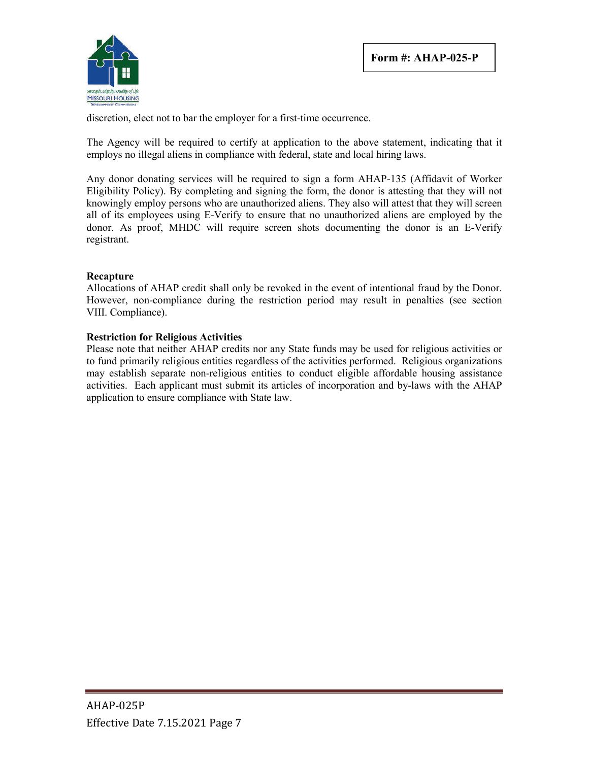

discretion, elect not to bar the employer for a first-time occurrence.

The Agency will be required to certify at application to the above statement, indicating that it employs no illegal aliens in compliance with federal, state and local hiring laws.

Any donor donating services will be required to sign a form AHAP-135 (Affidavit of Worker Eligibility Policy). By completing and signing the form, the donor is attesting that they will not knowingly employ persons who are unauthorized aliens. They also will attest that they will screen all of its employees using E-Verify to ensure that no unauthorized aliens are employed by the donor. As proof, MHDC will require screen shots documenting the donor is an E-Verify registrant.

#### **Recapture**

Allocations of AHAP credit shall only be revoked in the event of intentional fraud by the Donor. However, non-compliance during the restriction period may result in penalties (see section VIII. Compliance).

#### **Restriction for Religious Activities**

Please note that neither AHAP credits nor any State funds may be used for religious activities or to fund primarily religious entities regardless of the activities performed. Religious organizations may establish separate non-religious entities to conduct eligible affordable housing assistance activities. Each applicant must submit its articles of incorporation and by-laws with the AHAP application to ensure compliance with State law.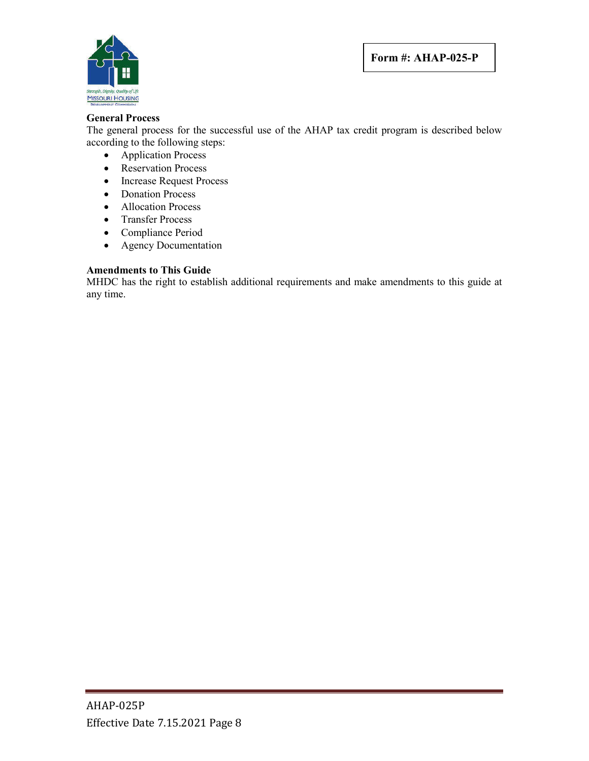

#### **General Process**

The general process for the successful use of the AHAP tax credit program is described below according to the following steps:

- Application Process
- Reservation Process
- Increase Request Process
- Donation Process
- Allocation Process
- Transfer Process
- Compliance Period
- Agency Documentation

## **Amendments to This Guide**

MHDC has the right to establish additional requirements and make amendments to this guide at any time.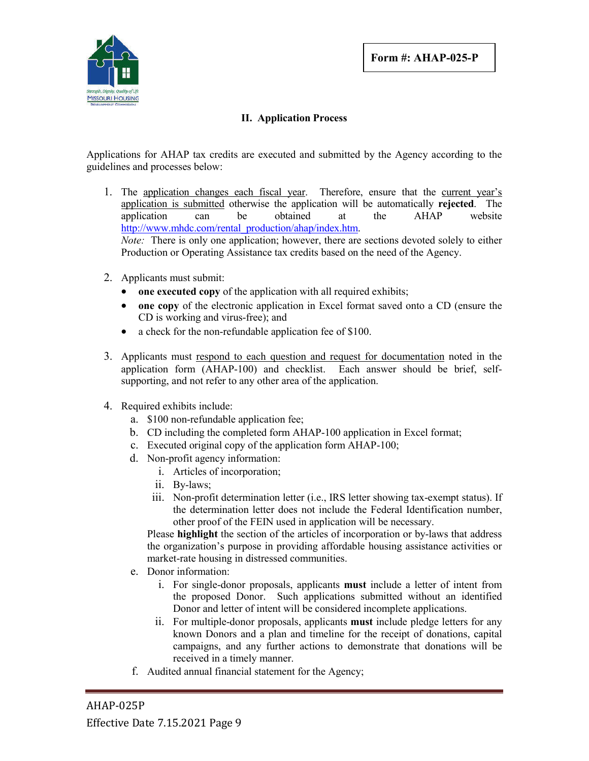

## **II. Application Process**

Applications for AHAP tax credits are executed and submitted by the Agency according to the guidelines and processes below:

- 1. The application changes each fiscal year. Therefore, ensure that the current year's application is submitted otherwise the application will be automatically **rejected**. The application can be obtained at the AHAP website http://www.mhdc.com/rental\_production/ahap/index.htm. *Note:* There is only one application; however, there are sections devoted solely to either Production or Operating Assistance tax credits based on the need of the Agency.
- 2. Applicants must submit:
	- one **executed copy** of the application with all required exhibits;
	- **one copy** of the electronic application in Excel format saved onto a CD (ensure the CD is working and virus-free); and
	- a check for the non-refundable application fee of \$100.
- 3. Applicants must respond to each question and request for documentation noted in the application form (AHAP-100) and checklist. Each answer should be brief, selfsupporting, and not refer to any other area of the application.
- 4. Required exhibits include:
	- a. \$100 non-refundable application fee;
	- b. CD including the completed form AHAP-100 application in Excel format;
	- c. Executed original copy of the application form AHAP-100;
	- d. Non-profit agency information:
		- i. Articles of incorporation;
		- ii. By-laws;
		- iii. Non-profit determination letter (i.e., IRS letter showing tax-exempt status). If the determination letter does not include the Federal Identification number, other proof of the FEIN used in application will be necessary.

Please **highlight** the section of the articles of incorporation or by-laws that address the organization's purpose in providing affordable housing assistance activities or market-rate housing in distressed communities.

- e. Donor information:
	- i. For single-donor proposals, applicants **must** include a letter of intent from the proposed Donor. Such applications submitted without an identified Donor and letter of intent will be considered incomplete applications.
	- ii. For multiple-donor proposals, applicants **must** include pledge letters for any known Donors and a plan and timeline for the receipt of donations, capital campaigns, and any further actions to demonstrate that donations will be received in a timely manner.
- f. Audited annual financial statement for the Agency;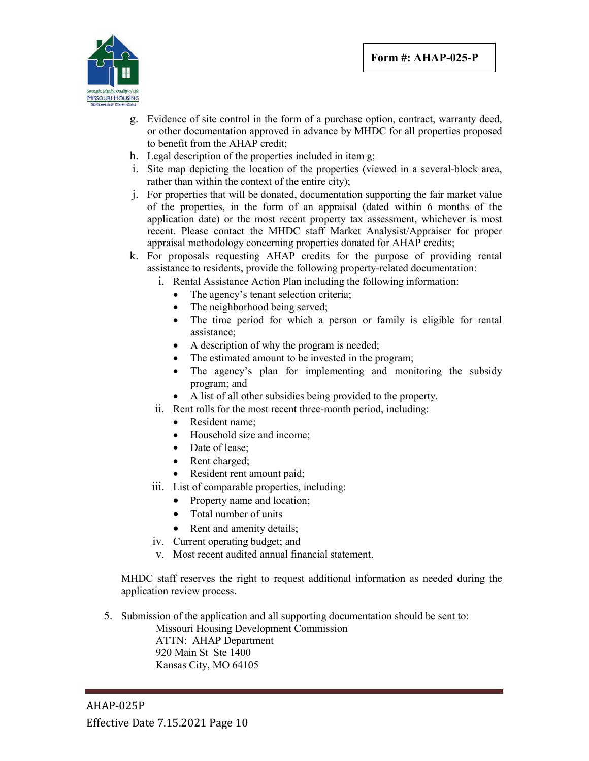

- g. Evidence of site control in the form of a purchase option, contract, warranty deed, or other documentation approved in advance by MHDC for all properties proposed to benefit from the AHAP credit;
- h. Legal description of the properties included in item g;
- i. Site map depicting the location of the properties (viewed in a several-block area, rather than within the context of the entire city);
- j. For properties that will be donated, documentation supporting the fair market value of the properties, in the form of an appraisal (dated within 6 months of the application date) or the most recent property tax assessment, whichever is most recent. Please contact the MHDC staff Market Analysist/Appraiser for proper appraisal methodology concerning properties donated for AHAP credits;
- k. For proposals requesting AHAP credits for the purpose of providing rental assistance to residents, provide the following property-related documentation:
	- i. Rental Assistance Action Plan including the following information:
		- The agency's tenant selection criteria;
		- The neighborhood being served;
		- The time period for which a person or family is eligible for rental assistance;
		- A description of why the program is needed;
		- The estimated amount to be invested in the program;
		- The agency's plan for implementing and monitoring the subsidy program; and
		- A list of all other subsidies being provided to the property.
	- ii. Rent rolls for the most recent three-month period, including:
		- Resident name;
		- Household size and income:
		- Date of lease;
		- Rent charged;
		- Resident rent amount paid;
	- iii. List of comparable properties, including:
		- Property name and location;
		- Total number of units
		- Rent and amenity details;
	- iv. Current operating budget; and
	- v. Most recent audited annual financial statement.

MHDC staff reserves the right to request additional information as needed during the application review process.

5. Submission of the application and all supporting documentation should be sent to:

Missouri Housing Development Commission ATTN: AHAP Department 920 Main St Ste 1400 Kansas City, MO 64105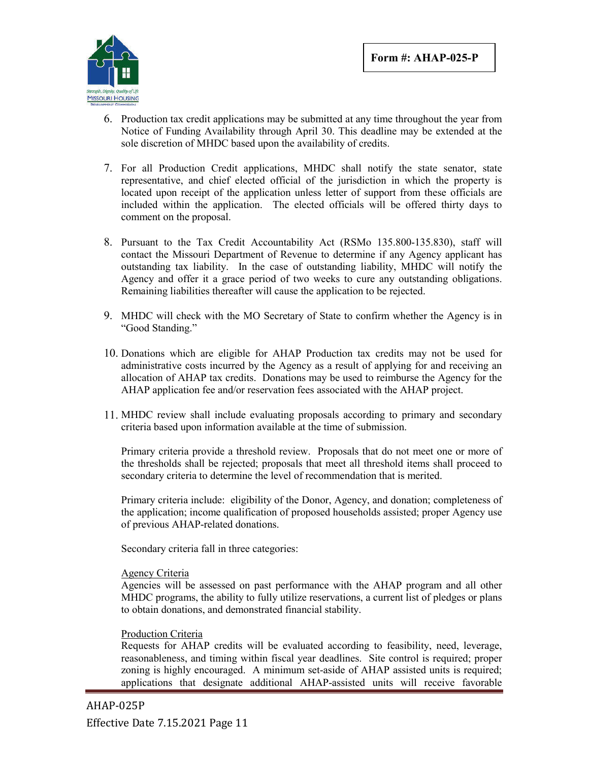

- 6. Production tax credit applications may be submitted at any time throughout the year from Notice of Funding Availability through April 30. This deadline may be extended at the sole discretion of MHDC based upon the availability of credits.
- 7. For all Production Credit applications, MHDC shall notify the state senator, state representative, and chief elected official of the jurisdiction in which the property is located upon receipt of the application unless letter of support from these officials are included within the application. The elected officials will be offered thirty days to comment on the proposal.
- 8. Pursuant to the Tax Credit Accountability Act (RSMo 135.800-135.830), staff will contact the Missouri Department of Revenue to determine if any Agency applicant has outstanding tax liability. In the case of outstanding liability, MHDC will notify the Agency and offer it a grace period of two weeks to cure any outstanding obligations. Remaining liabilities thereafter will cause the application to be rejected.
- 9. MHDC will check with the MO Secretary of State to confirm whether the Agency is in "Good Standing."
- 10. Donations which are eligible for AHAP Production tax credits may not be used for administrative costs incurred by the Agency as a result of applying for and receiving an allocation of AHAP tax credits. Donations may be used to reimburse the Agency for the AHAP application fee and/or reservation fees associated with the AHAP project.
- 11. MHDC review shall include evaluating proposals according to primary and secondary criteria based upon information available at the time of submission.

Primary criteria provide a threshold review. Proposals that do not meet one or more of the thresholds shall be rejected; proposals that meet all threshold items shall proceed to secondary criteria to determine the level of recommendation that is merited.

Primary criteria include: eligibility of the Donor, Agency, and donation; completeness of the application; income qualification of proposed households assisted; proper Agency use of previous AHAP-related donations.

Secondary criteria fall in three categories:

#### Agency Criteria

Agencies will be assessed on past performance with the AHAP program and all other MHDC programs, the ability to fully utilize reservations, a current list of pledges or plans to obtain donations, and demonstrated financial stability.

#### Production Criteria

Requests for AHAP credits will be evaluated according to feasibility, need, leverage, reasonableness, and timing within fiscal year deadlines. Site control is required; proper zoning is highly encouraged. A minimum set-aside of AHAP assisted units is required; applications that designate additional AHAP-assisted units will receive favorable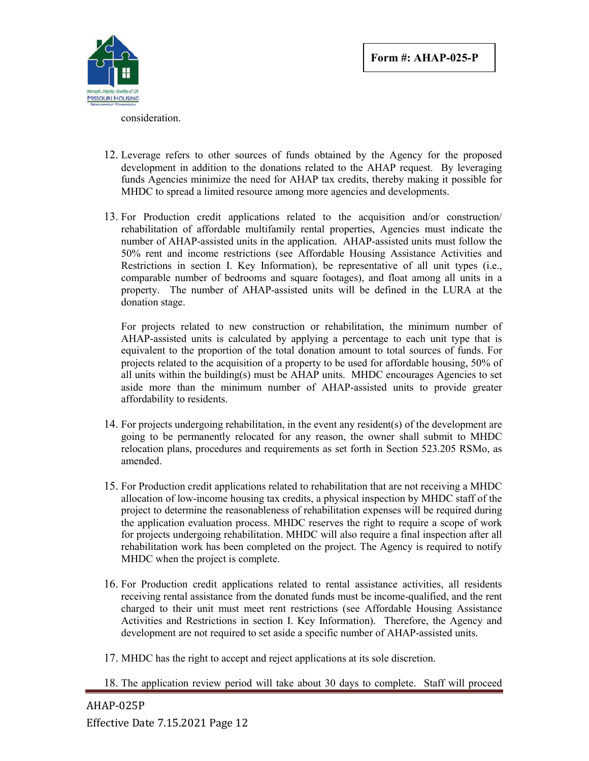

consideration.

- 12. Leverage refers to other sources of funds obtained by the Agency for the proposed development in addition to the donations related to the AHAP request. By leveraging funds Agencies minimize the need for AHAP tax credits, thereby making it possible for MHDC to spread a limited resource among more agencies and developments.
- 13. For Production credit applications related to the acquisition and/or construction/ rehabilitation of affordable multifamily rental properties, Agencies must indicate the number of AHAP-assisted units in the application. AHAP-assisted units must follow the 50% rent and income restrictions (see Affordable Housing Assistance Activities and Restrictions in section I. Key Information), be representative of all unit types (i.e., comparable number of bedrooms and square footages), and float among all units in a property. The number of AHAP-assisted units will be defined in the LURA at the donation stage.

For projects related to new construction or rehabilitation, the minimum number of AHAP-assisted units is calculated by applying a percentage to each unit type that is equivalent to the proportion of the total donation amount to total sources of funds. For projects related to the acquisition of a property to be used for affordable housing, 50% of all units within the building(s) must be AHAP units. MHDC encourages Agencies to set aside more than the minimum number of AHAP-assisted units to provide greater affordability to residents.

- 14. For projects undergoing rehabilitation, in the event any resident(s) of the development are going to be permanently relocated for any reason, the owner shall submit to MHDC relocation plans, procedures and requirements as set forth in Section 523.205 RSMo, as amended.
- 15. For Production credit applications related to rehabilitation that are not receiving a MHDC allocation of low-income housing tax credits, a physical inspection by MHDC staff of the project to determine the reasonableness of rehabilitation expenses will be required during the application evaluation process. MHDC reserves the right to require a scope of work for projects undergoing rehabilitation. MHDC will also require a final inspection after all rehabilitation work has been completed on the project. The Agency is required to notify MHDC when the project is complete.
- 16. For Production credit applications related to rental assistance activities, all residents receiving rental assistance from the donated funds must be income-qualified, and the rent charged to their unit must meet rent restrictions (see Affordable Housing Assistance Activities and Restrictions in section I. Key Information). Therefore, the Agency and development are not required to set aside a specific number of AHAP-assisted units.
- 17. MHDC has the right to accept and reject applications at its sole discretion.
- 18. The application review period will take about 30 days to complete. Staff will proceed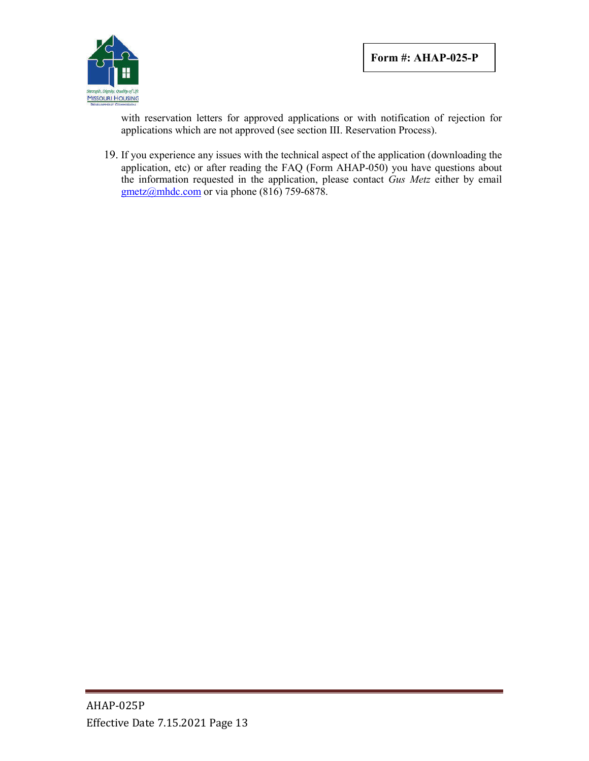

with reservation letters for approved applications or with notification of rejection for applications which are not approved (see section III. Reservation Process).

19. If you experience any issues with the technical aspect of the application (downloading the application, etc) or after reading the FAQ (Form AHAP-050) you have questions about the information requested in the application, please contact *Gus Metz* either by email  $gmetz@mhdc.com$  or via phone (816) 759-6878.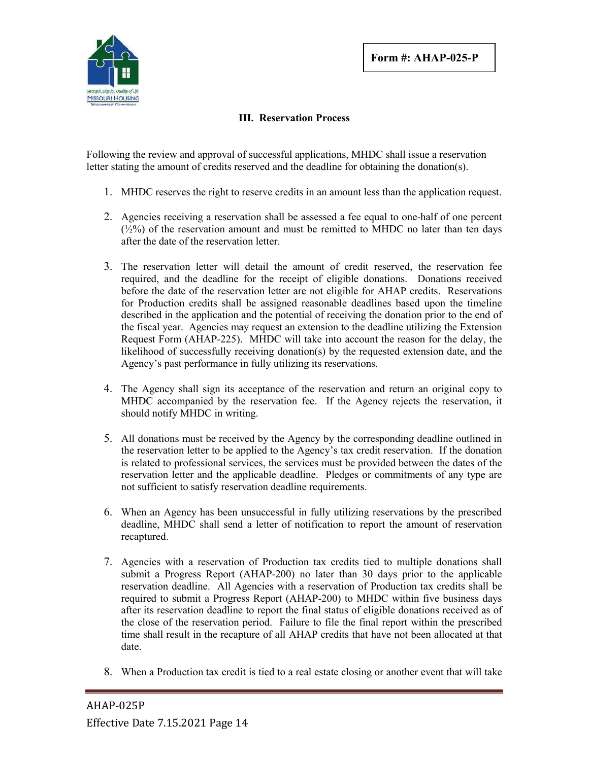

## **III. Reservation Process**

Following the review and approval of successful applications, MHDC shall issue a reservation letter stating the amount of credits reserved and the deadline for obtaining the donation(s).

- 1. MHDC reserves the right to reserve credits in an amount less than the application request.
- 2. Agencies receiving a reservation shall be assessed a fee equal to one-half of one percent  $(\frac{1}{2}\%)$  of the reservation amount and must be remitted to MHDC no later than ten days after the date of the reservation letter.
- 3. The reservation letter will detail the amount of credit reserved, the reservation fee required, and the deadline for the receipt of eligible donations. Donations received before the date of the reservation letter are not eligible for AHAP credits. Reservations for Production credits shall be assigned reasonable deadlines based upon the timeline described in the application and the potential of receiving the donation prior to the end of the fiscal year. Agencies may request an extension to the deadline utilizing the Extension Request Form (AHAP-225). MHDC will take into account the reason for the delay, the likelihood of successfully receiving donation(s) by the requested extension date, and the Agency's past performance in fully utilizing its reservations.
- 4. The Agency shall sign its acceptance of the reservation and return an original copy to MHDC accompanied by the reservation fee. If the Agency rejects the reservation, it should notify MHDC in writing.
- 5. All donations must be received by the Agency by the corresponding deadline outlined in the reservation letter to be applied to the Agency's tax credit reservation. If the donation is related to professional services, the services must be provided between the dates of the reservation letter and the applicable deadline. Pledges or commitments of any type are not sufficient to satisfy reservation deadline requirements.
- 6. When an Agency has been unsuccessful in fully utilizing reservations by the prescribed deadline, MHDC shall send a letter of notification to report the amount of reservation recaptured.
- 7. Agencies with a reservation of Production tax credits tied to multiple donations shall submit a Progress Report (AHAP-200) no later than 30 days prior to the applicable reservation deadline. All Agencies with a reservation of Production tax credits shall be required to submit a Progress Report (AHAP-200) to MHDC within five business days after its reservation deadline to report the final status of eligible donations received as of the close of the reservation period. Failure to file the final report within the prescribed time shall result in the recapture of all AHAP credits that have not been allocated at that date.
- 8. When a Production tax credit is tied to a real estate closing or another event that will take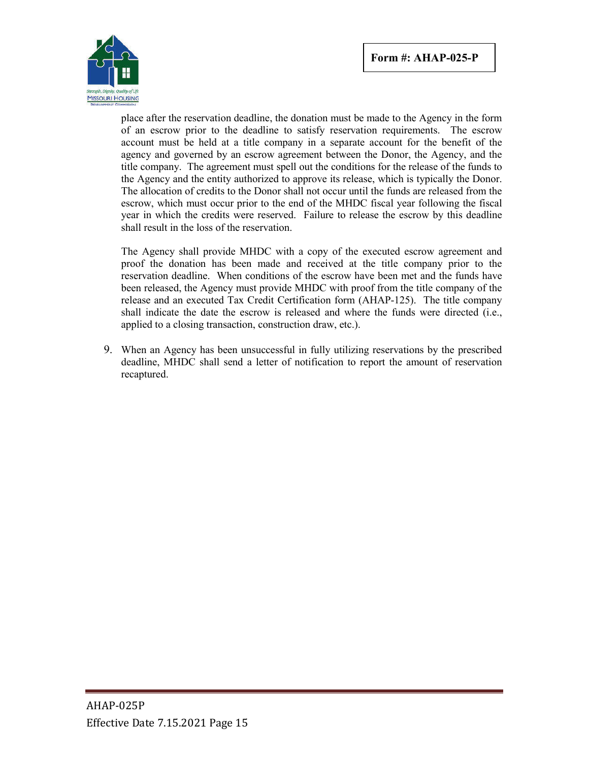

place after the reservation deadline, the donation must be made to the Agency in the form of an escrow prior to the deadline to satisfy reservation requirements. The escrow account must be held at a title company in a separate account for the benefit of the agency and governed by an escrow agreement between the Donor, the Agency, and the title company. The agreement must spell out the conditions for the release of the funds to the Agency and the entity authorized to approve its release, which is typically the Donor. The allocation of credits to the Donor shall not occur until the funds are released from the escrow, which must occur prior to the end of the MHDC fiscal year following the fiscal year in which the credits were reserved. Failure to release the escrow by this deadline shall result in the loss of the reservation.

The Agency shall provide MHDC with a copy of the executed escrow agreement and proof the donation has been made and received at the title company prior to the reservation deadline. When conditions of the escrow have been met and the funds have been released, the Agency must provide MHDC with proof from the title company of the release and an executed Tax Credit Certification form (AHAP-125). The title company shall indicate the date the escrow is released and where the funds were directed (i.e., applied to a closing transaction, construction draw, etc.).

9. When an Agency has been unsuccessful in fully utilizing reservations by the prescribed deadline, MHDC shall send a letter of notification to report the amount of reservation recaptured.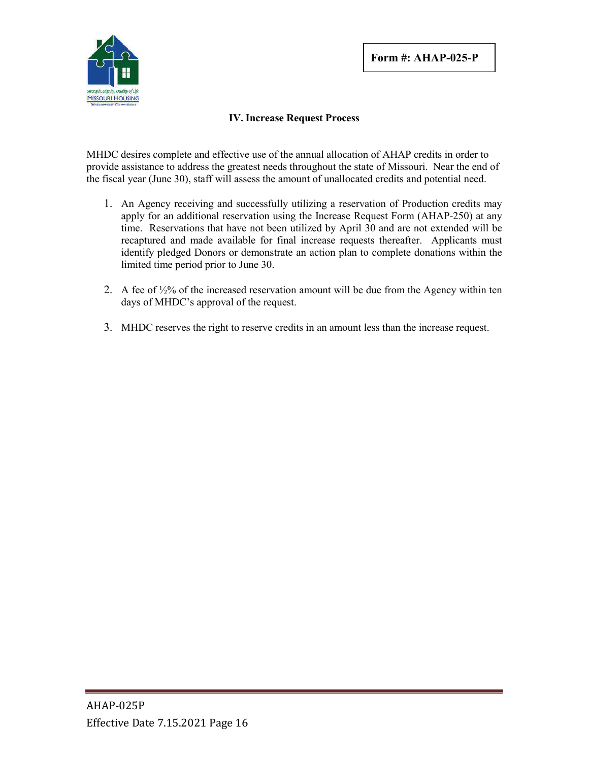

## **IV. Increase Request Process**

MHDC desires complete and effective use of the annual allocation of AHAP credits in order to provide assistance to address the greatest needs throughout the state of Missouri. Near the end of the fiscal year (June 30), staff will assess the amount of unallocated credits and potential need.

- 1. An Agency receiving and successfully utilizing a reservation of Production credits may apply for an additional reservation using the Increase Request Form (AHAP-250) at any time. Reservations that have not been utilized by April 30 and are not extended will be recaptured and made available for final increase requests thereafter. Applicants must identify pledged Donors or demonstrate an action plan to complete donations within the limited time period prior to June 30.
- 2. A fee of ½% of the increased reservation amount will be due from the Agency within ten days of MHDC's approval of the request.
- 3. MHDC reserves the right to reserve credits in an amount less than the increase request.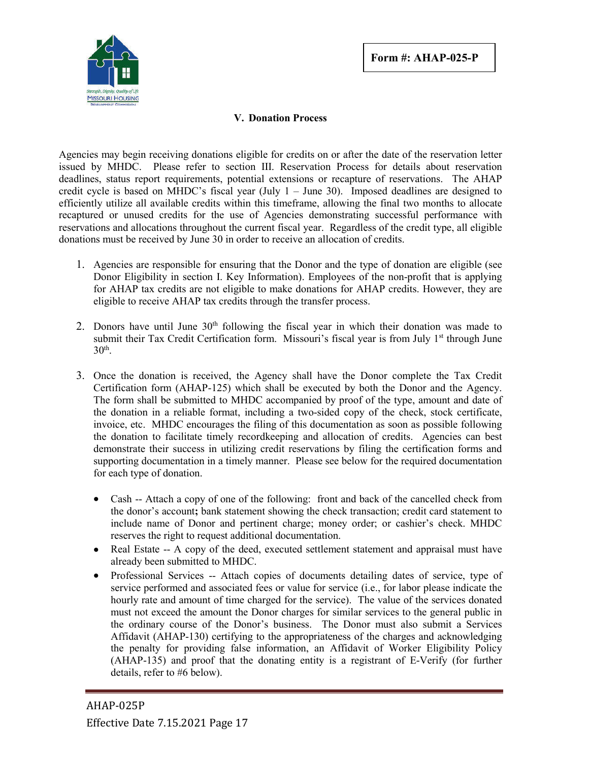

## **V. Donation Process**

Agencies may begin receiving donations eligible for credits on or after the date of the reservation letter issued by MHDC. Please refer to section III. Reservation Process for details about reservation deadlines, status report requirements, potential extensions or recapture of reservations. The AHAP credit cycle is based on MHDC's fiscal year (July  $1 -$  June 30). Imposed deadlines are designed to efficiently utilize all available credits within this timeframe, allowing the final two months to allocate recaptured or unused credits for the use of Agencies demonstrating successful performance with reservations and allocations throughout the current fiscal year. Regardless of the credit type, all eligible donations must be received by June 30 in order to receive an allocation of credits.

- 1. Agencies are responsible for ensuring that the Donor and the type of donation are eligible (see Donor Eligibility in section I. Key Information). Employees of the non-profit that is applying for AHAP tax credits are not eligible to make donations for AHAP credits. However, they are eligible to receive AHAP tax credits through the transfer process.
- 2. Donors have until June  $30<sup>th</sup>$  following the fiscal year in which their donation was made to submit their Tax Credit Certification form. Missouri's fiscal year is from July 1<sup>st</sup> through June  $30<sup>th</sup>$ .
- 3. Once the donation is received, the Agency shall have the Donor complete the Tax Credit Certification form (AHAP-125) which shall be executed by both the Donor and the Agency. The form shall be submitted to MHDC accompanied by proof of the type, amount and date of the donation in a reliable format, including a two-sided copy of the check, stock certificate, invoice, etc. MHDC encourages the filing of this documentation as soon as possible following the donation to facilitate timely recordkeeping and allocation of credits. Agencies can best demonstrate their success in utilizing credit reservations by filing the certification forms and supporting documentation in a timely manner. Please see below for the required documentation for each type of donation.
	- Cash -- Attach a copy of one of the following: front and back of the cancelled check from the donor's account**;** bank statement showing the check transaction; credit card statement to include name of Donor and pertinent charge; money order; or cashier's check. MHDC reserves the right to request additional documentation.
	- Real Estate -- A copy of the deed, executed settlement statement and appraisal must have already been submitted to MHDC.
	- Professional Services -- Attach copies of documents detailing dates of service, type of service performed and associated fees or value for service (i.e., for labor please indicate the hourly rate and amount of time charged for the service). The value of the services donated must not exceed the amount the Donor charges for similar services to the general public in the ordinary course of the Donor's business. The Donor must also submit a Services Affidavit (AHAP-130) certifying to the appropriateness of the charges and acknowledging the penalty for providing false information, an Affidavit of Worker Eligibility Policy (AHAP-135) and proof that the donating entity is a registrant of E-Verify (for further details, refer to #6 below).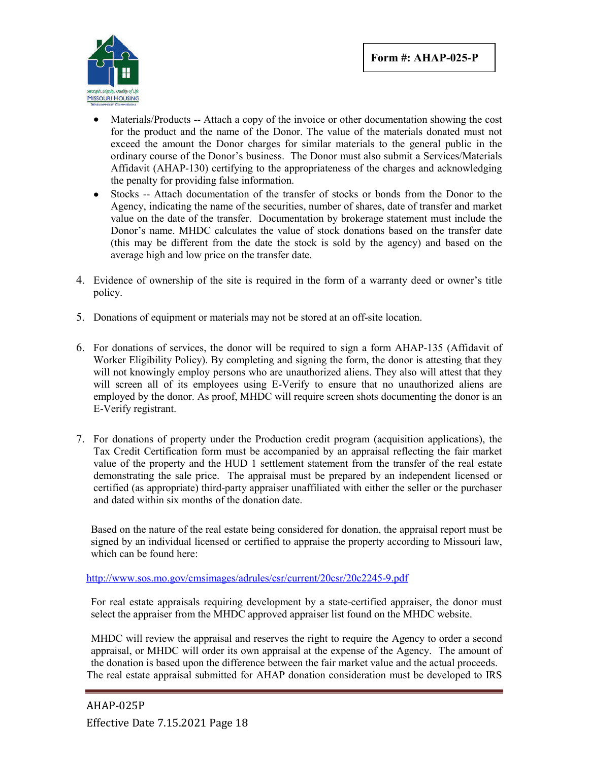

- Materials/Products -- Attach a copy of the invoice or other documentation showing the cost for the product and the name of the Donor. The value of the materials donated must not exceed the amount the Donor charges for similar materials to the general public in the ordinary course of the Donor's business. The Donor must also submit a Services/Materials Affidavit (AHAP-130) certifying to the appropriateness of the charges and acknowledging the penalty for providing false information.
- Stocks -- Attach documentation of the transfer of stocks or bonds from the Donor to the Agency, indicating the name of the securities, number of shares, date of transfer and market value on the date of the transfer. Documentation by brokerage statement must include the Donor's name. MHDC calculates the value of stock donations based on the transfer date (this may be different from the date the stock is sold by the agency) and based on the average high and low price on the transfer date.
- 4. Evidence of ownership of the site is required in the form of a warranty deed or owner's title policy.
- 5. Donations of equipment or materials may not be stored at an off-site location.
- 6. For donations of services, the donor will be required to sign a form AHAP-135 (Affidavit of Worker Eligibility Policy). By completing and signing the form, the donor is attesting that they will not knowingly employ persons who are unauthorized aliens. They also will attest that they will screen all of its employees using E-Verify to ensure that no unauthorized aliens are employed by the donor. As proof, MHDC will require screen shots documenting the donor is an E-Verify registrant.
- 7. For donations of property under the Production credit program (acquisition applications), the Tax Credit Certification form must be accompanied by an appraisal reflecting the fair market value of the property and the HUD 1 settlement statement from the transfer of the real estate demonstrating the sale price. The appraisal must be prepared by an independent licensed or certified (as appropriate) third-party appraiser unaffiliated with either the seller or the purchaser and dated within six months of the donation date.

Based on the nature of the real estate being considered for donation, the appraisal report must be signed by an individual licensed or certified to appraise the property according to Missouri law, which can be found here:

http://www.sos.mo.gov/cmsimages/adrules/csr/current/20csr/20c2245-9.pdf

For real estate appraisals requiring development by a state-certified appraiser, the donor must select the appraiser from the MHDC approved appraiser list found on the MHDC website.

MHDC will review the appraisal and reserves the right to require the Agency to order a second appraisal, or MHDC will order its own appraisal at the expense of the Agency. The amount of the donation is based upon the difference between the fair market value and the actual proceeds. The real estate appraisal submitted for AHAP donation consideration must be developed to IRS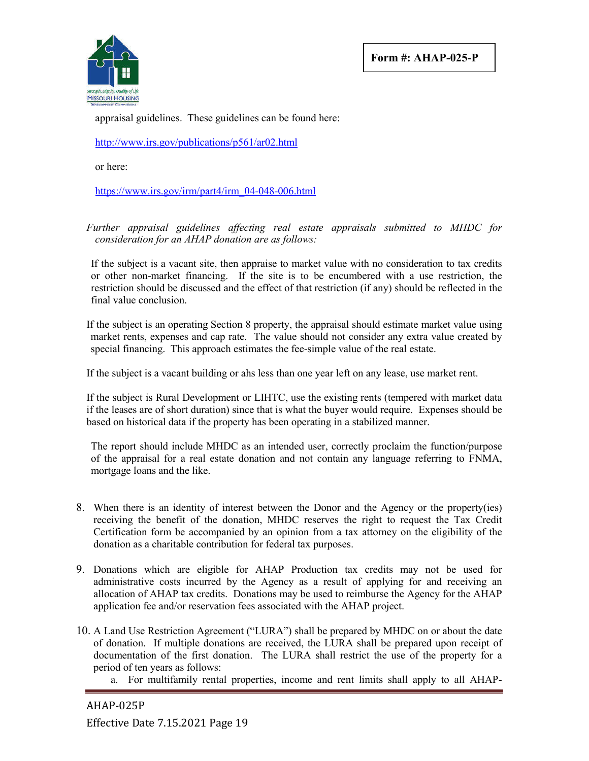**Form #: AHAP-025-P**



appraisal guidelines. These guidelines can be found here:

http://www.irs.gov/publications/p561/ar02.html

or here:

https://www.irs.gov/irm/part4/irm\_04-048-006.html

*Further appraisal guidelines affecting real estate appraisals submitted to MHDC for consideration for an AHAP donation are as follows:*

If the subject is a vacant site, then appraise to market value with no consideration to tax credits or other non-market financing. If the site is to be encumbered with a use restriction, the restriction should be discussed and the effect of that restriction (if any) should be reflected in the final value conclusion.

If the subject is an operating Section 8 property, the appraisal should estimate market value using market rents, expenses and cap rate. The value should not consider any extra value created by special financing. This approach estimates the fee-simple value of the real estate.

If the subject is a vacant building or ahs less than one year left on any lease, use market rent.

If the subject is Rural Development or LIHTC, use the existing rents (tempered with market data if the leases are of short duration) since that is what the buyer would require. Expenses should be based on historical data if the property has been operating in a stabilized manner.

The report should include MHDC as an intended user, correctly proclaim the function/purpose of the appraisal for a real estate donation and not contain any language referring to FNMA, mortgage loans and the like.

- 8. When there is an identity of interest between the Donor and the Agency or the property(ies) receiving the benefit of the donation, MHDC reserves the right to request the Tax Credit Certification form be accompanied by an opinion from a tax attorney on the eligibility of the donation as a charitable contribution for federal tax purposes.
- 9. Donations which are eligible for AHAP Production tax credits may not be used for administrative costs incurred by the Agency as a result of applying for and receiving an allocation of AHAP tax credits. Donations may be used to reimburse the Agency for the AHAP application fee and/or reservation fees associated with the AHAP project.
- 10. A Land Use Restriction Agreement ("LURA") shall be prepared by MHDC on or about the date of donation. If multiple donations are received, the LURA shall be prepared upon receipt of documentation of the first donation. The LURA shall restrict the use of the property for a period of ten years as follows:
	- a. For multifamily rental properties, income and rent limits shall apply to all AHAP-

AHAP-025P Effective Date 7.15.2021 Page 19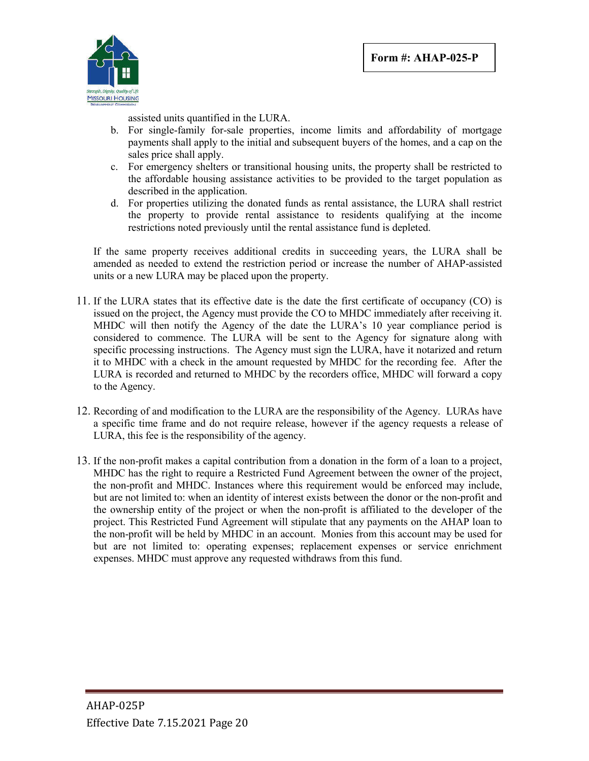

assisted units quantified in the LURA.

- b. For single-family for-sale properties, income limits and affordability of mortgage payments shall apply to the initial and subsequent buyers of the homes, and a cap on the sales price shall apply.
- c. For emergency shelters or transitional housing units, the property shall be restricted to the affordable housing assistance activities to be provided to the target population as described in the application.
- d. For properties utilizing the donated funds as rental assistance, the LURA shall restrict the property to provide rental assistance to residents qualifying at the income restrictions noted previously until the rental assistance fund is depleted.

If the same property receives additional credits in succeeding years, the LURA shall be amended as needed to extend the restriction period or increase the number of AHAP-assisted units or a new LURA may be placed upon the property.

- 11. If the LURA states that its effective date is the date the first certificate of occupancy (CO) is issued on the project, the Agency must provide the CO to MHDC immediately after receiving it. MHDC will then notify the Agency of the date the LURA's 10 year compliance period is considered to commence. The LURA will be sent to the Agency for signature along with specific processing instructions. The Agency must sign the LURA, have it notarized and return it to MHDC with a check in the amount requested by MHDC for the recording fee. After the LURA is recorded and returned to MHDC by the recorders office, MHDC will forward a copy to the Agency.
- 12. Recording of and modification to the LURA are the responsibility of the Agency. LURAs have a specific time frame and do not require release, however if the agency requests a release of LURA, this fee is the responsibility of the agency.
- 13. If the non-profit makes a capital contribution from a donation in the form of a loan to a project, MHDC has the right to require a Restricted Fund Agreement between the owner of the project, the non-profit and MHDC. Instances where this requirement would be enforced may include, but are not limited to: when an identity of interest exists between the donor or the non-profit and the ownership entity of the project or when the non-profit is affiliated to the developer of the project. This Restricted Fund Agreement will stipulate that any payments on the AHAP loan to the non-profit will be held by MHDC in an account. Monies from this account may be used for but are not limited to: operating expenses; replacement expenses or service enrichment expenses. MHDC must approve any requested withdraws from this fund.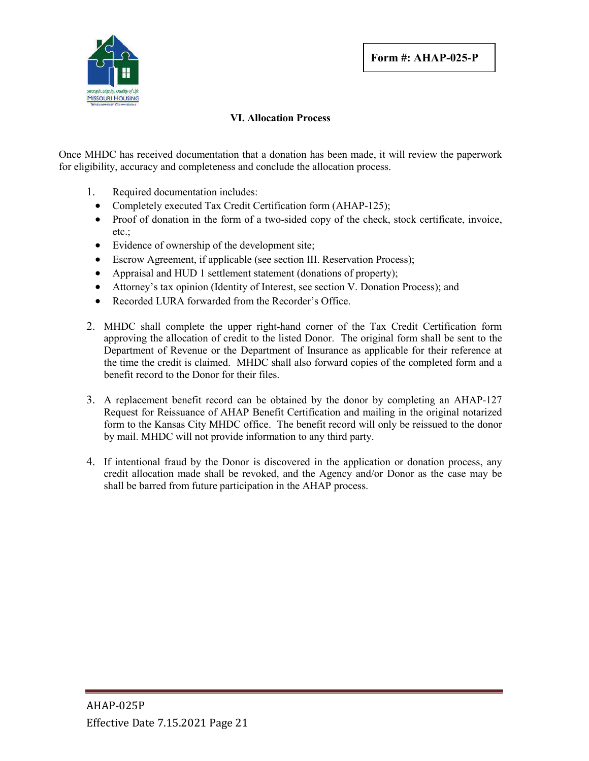

## **VI. Allocation Process**

Once MHDC has received documentation that a donation has been made, it will review the paperwork for eligibility, accuracy and completeness and conclude the allocation process.

- 1. Required documentation includes:
	- Completely executed Tax Credit Certification form (AHAP-125);
	- Proof of donation in the form of a two-sided copy of the check, stock certificate, invoice, etc.;
	- Evidence of ownership of the development site;
	- Escrow Agreement, if applicable (see section III. Reservation Process);
	- Appraisal and HUD 1 settlement statement (donations of property);
	- Attorney's tax opinion (Identity of Interest, see section V. Donation Process); and
	- Recorded LURA forwarded from the Recorder's Office.
- 2. MHDC shall complete the upper right-hand corner of the Tax Credit Certification form approving the allocation of credit to the listed Donor. The original form shall be sent to the Department of Revenue or the Department of Insurance as applicable for their reference at the time the credit is claimed. MHDC shall also forward copies of the completed form and a benefit record to the Donor for their files.
- 3. A replacement benefit record can be obtained by the donor by completing an AHAP-127 Request for Reissuance of AHAP Benefit Certification and mailing in the original notarized form to the Kansas City MHDC office. The benefit record will only be reissued to the donor by mail. MHDC will not provide information to any third party.
- 4. If intentional fraud by the Donor is discovered in the application or donation process, any credit allocation made shall be revoked, and the Agency and/or Donor as the case may be shall be barred from future participation in the AHAP process.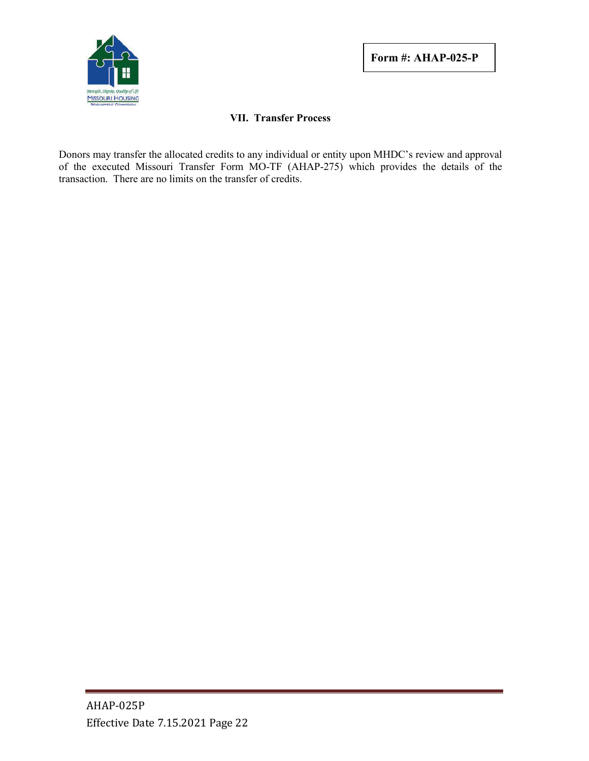

## **VII. Transfer Process**

Donors may transfer the allocated credits to any individual or entity upon MHDC's review and approval of the executed Missouri Transfer Form MO-TF (AHAP-275) which provides the details of the transaction. There are no limits on the transfer of credits.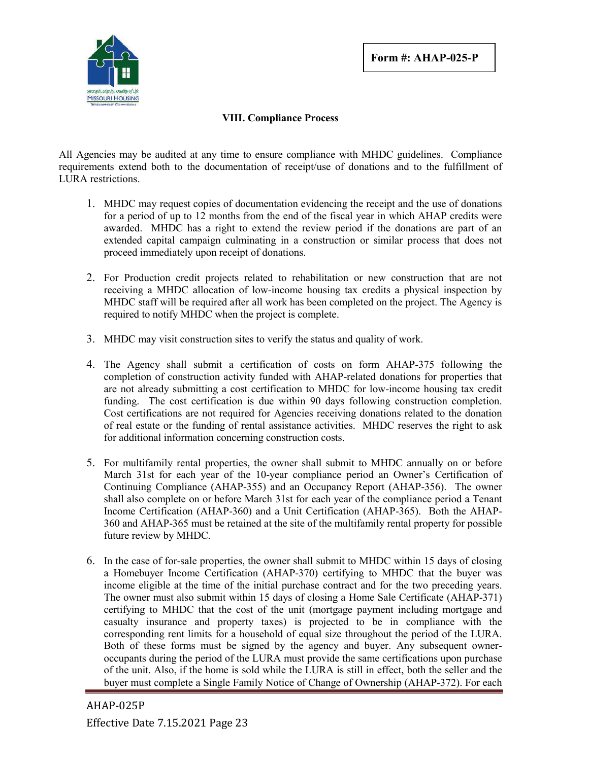

## **VIII. Compliance Process**

All Agencies may be audited at any time to ensure compliance with MHDC guidelines. Compliance requirements extend both to the documentation of receipt/use of donations and to the fulfillment of LURA restrictions.

- 1. MHDC may request copies of documentation evidencing the receipt and the use of donations for a period of up to 12 months from the end of the fiscal year in which AHAP credits were awarded. MHDC has a right to extend the review period if the donations are part of an extended capital campaign culminating in a construction or similar process that does not proceed immediately upon receipt of donations.
- 2. For Production credit projects related to rehabilitation or new construction that are not receiving a MHDC allocation of low-income housing tax credits a physical inspection by MHDC staff will be required after all work has been completed on the project. The Agency is required to notify MHDC when the project is complete.
- 3. MHDC may visit construction sites to verify the status and quality of work.
- 4. The Agency shall submit a certification of costs on form AHAP-375 following the completion of construction activity funded with AHAP-related donations for properties that are not already submitting a cost certification to MHDC for low-income housing tax credit funding. The cost certification is due within 90 days following construction completion. Cost certifications are not required for Agencies receiving donations related to the donation of real estate or the funding of rental assistance activities. MHDC reserves the right to ask for additional information concerning construction costs.
- 5. For multifamily rental properties, the owner shall submit to MHDC annually on or before March 31st for each year of the 10-year compliance period an Owner's Certification of Continuing Compliance (AHAP-355) and an Occupancy Report (AHAP-356). The owner shall also complete on or before March 31st for each year of the compliance period a Tenant Income Certification (AHAP-360) and a Unit Certification (AHAP-365). Both the AHAP-360 and AHAP-365 must be retained at the site of the multifamily rental property for possible future review by MHDC.
- 6. In the case of for-sale properties, the owner shall submit to MHDC within 15 days of closing a Homebuyer Income Certification (AHAP-370) certifying to MHDC that the buyer was income eligible at the time of the initial purchase contract and for the two preceding years. The owner must also submit within 15 days of closing a Home Sale Certificate (AHAP-371) certifying to MHDC that the cost of the unit (mortgage payment including mortgage and casualty insurance and property taxes) is projected to be in compliance with the corresponding rent limits for a household of equal size throughout the period of the LURA. Both of these forms must be signed by the agency and buyer. Any subsequent owneroccupants during the period of the LURA must provide the same certifications upon purchase of the unit. Also, if the home is sold while the LURA is still in effect, both the seller and the buyer must complete a Single Family Notice of Change of Ownership (AHAP-372). For each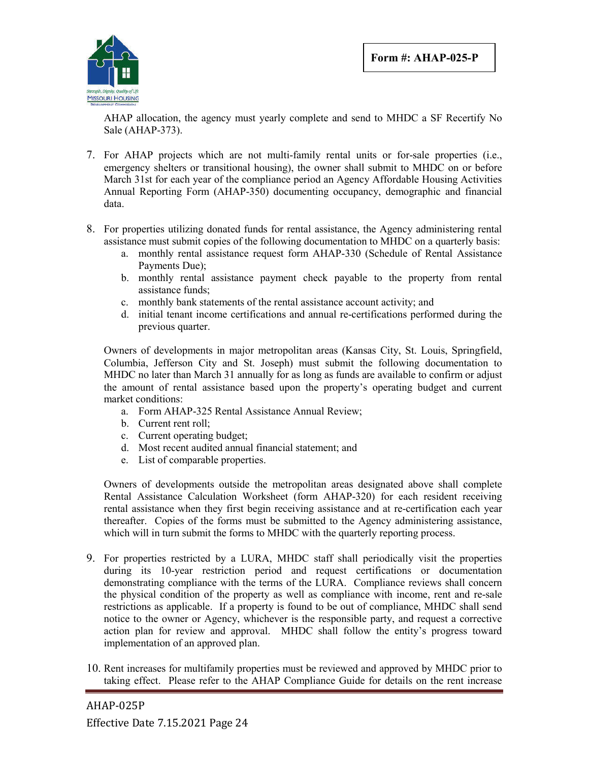

AHAP allocation, the agency must yearly complete and send to MHDC a SF Recertify No Sale (AHAP-373).

- 7. For AHAP projects which are not multi-family rental units or for-sale properties (i.e., emergency shelters or transitional housing), the owner shall submit to MHDC on or before March 31st for each year of the compliance period an Agency Affordable Housing Activities Annual Reporting Form (AHAP-350) documenting occupancy, demographic and financial data.
- 8. For properties utilizing donated funds for rental assistance, the Agency administering rental assistance must submit copies of the following documentation to MHDC on a quarterly basis:
	- a. monthly rental assistance request form AHAP-330 (Schedule of Rental Assistance Payments Due);
	- b. monthly rental assistance payment check payable to the property from rental assistance funds;
	- c. monthly bank statements of the rental assistance account activity; and
	- d. initial tenant income certifications and annual re-certifications performed during the previous quarter.

Owners of developments in major metropolitan areas (Kansas City, St. Louis, Springfield, Columbia, Jefferson City and St. Joseph) must submit the following documentation to MHDC no later than March 31 annually for as long as funds are available to confirm or adjust the amount of rental assistance based upon the property's operating budget and current market conditions:

- a. Form AHAP-325 Rental Assistance Annual Review;
- b. Current rent roll;
- c. Current operating budget;
- d. Most recent audited annual financial statement; and
- e. List of comparable properties.

Owners of developments outside the metropolitan areas designated above shall complete Rental Assistance Calculation Worksheet (form AHAP-320) for each resident receiving rental assistance when they first begin receiving assistance and at re-certification each year thereafter. Copies of the forms must be submitted to the Agency administering assistance, which will in turn submit the forms to MHDC with the quarterly reporting process.

- 9. For properties restricted by a LURA, MHDC staff shall periodically visit the properties during its 10-year restriction period and request certifications or documentation demonstrating compliance with the terms of the LURA. Compliance reviews shall concern the physical condition of the property as well as compliance with income, rent and re-sale restrictions as applicable. If a property is found to be out of compliance, MHDC shall send notice to the owner or Agency, whichever is the responsible party, and request a corrective action plan for review and approval. MHDC shall follow the entity's progress toward implementation of an approved plan.
- 10. Rent increases for multifamily properties must be reviewed and approved by MHDC prior to taking effect. Please refer to the AHAP Compliance Guide for details on the rent increase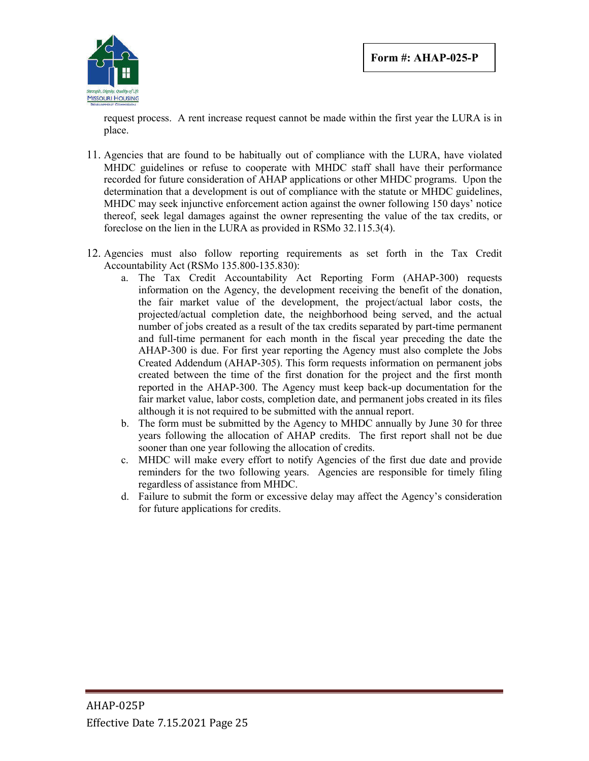

request process. A rent increase request cannot be made within the first year the LURA is in place.

- 11. Agencies that are found to be habitually out of compliance with the LURA, have violated MHDC guidelines or refuse to cooperate with MHDC staff shall have their performance recorded for future consideration of AHAP applications or other MHDC programs. Upon the determination that a development is out of compliance with the statute or MHDC guidelines, MHDC may seek injunctive enforcement action against the owner following 150 days' notice thereof, seek legal damages against the owner representing the value of the tax credits, or foreclose on the lien in the LURA as provided in RSMo 32.115.3(4).
- 12. Agencies must also follow reporting requirements as set forth in the Tax Credit Accountability Act (RSMo 135.800-135.830):
	- a. The Tax Credit Accountability Act Reporting Form (AHAP-300) requests information on the Agency, the development receiving the benefit of the donation, the fair market value of the development, the project/actual labor costs, the projected/actual completion date, the neighborhood being served, and the actual number of jobs created as a result of the tax credits separated by part-time permanent and full-time permanent for each month in the fiscal year preceding the date the AHAP-300 is due. For first year reporting the Agency must also complete the Jobs Created Addendum (AHAP-305). This form requests information on permanent jobs created between the time of the first donation for the project and the first month reported in the AHAP-300. The Agency must keep back-up documentation for the fair market value, labor costs, completion date, and permanent jobs created in its files although it is not required to be submitted with the annual report.
	- b. The form must be submitted by the Agency to MHDC annually by June 30 for three years following the allocation of AHAP credits. The first report shall not be due sooner than one year following the allocation of credits.
	- c. MHDC will make every effort to notify Agencies of the first due date and provide reminders for the two following years. Agencies are responsible for timely filing regardless of assistance from MHDC.
	- d. Failure to submit the form or excessive delay may affect the Agency's consideration for future applications for credits.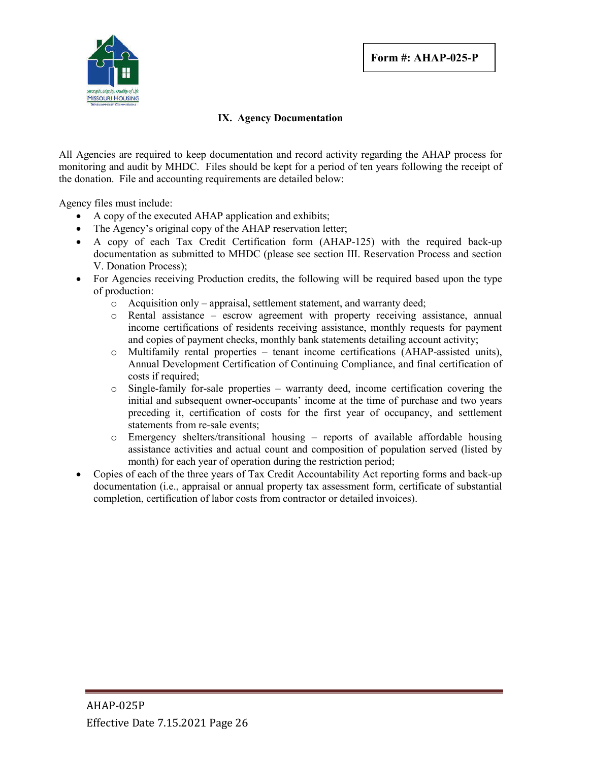

## **IX. Agency Documentation**

All Agencies are required to keep documentation and record activity regarding the AHAP process for monitoring and audit by MHDC. Files should be kept for a period of ten years following the receipt of the donation. File and accounting requirements are detailed below:

Agency files must include:

- A copy of the executed AHAP application and exhibits;
- The Agency's original copy of the AHAP reservation letter;
- A copy of each Tax Credit Certification form (AHAP-125) with the required back-up documentation as submitted to MHDC (please see section III. Reservation Process and section V. Donation Process);
- For Agencies receiving Production credits, the following will be required based upon the type of production:
	- o Acquisition only appraisal, settlement statement, and warranty deed;
	- o Rental assistance escrow agreement with property receiving assistance, annual income certifications of residents receiving assistance, monthly requests for payment and copies of payment checks, monthly bank statements detailing account activity;
	- $\circ$  Multifamily rental properties tenant income certifications (AHAP-assisted units), Annual Development Certification of Continuing Compliance, and final certification of costs if required:
	- $\circ$  Single-family for-sale properties warranty deed, income certification covering the initial and subsequent owner-occupants' income at the time of purchase and two years preceding it, certification of costs for the first year of occupancy, and settlement statements from re-sale events;
	- o Emergency shelters/transitional housing reports of available affordable housing assistance activities and actual count and composition of population served (listed by month) for each year of operation during the restriction period;
- Copies of each of the three years of Tax Credit Accountability Act reporting forms and back-up documentation (i.e., appraisal or annual property tax assessment form, certificate of substantial completion, certification of labor costs from contractor or detailed invoices).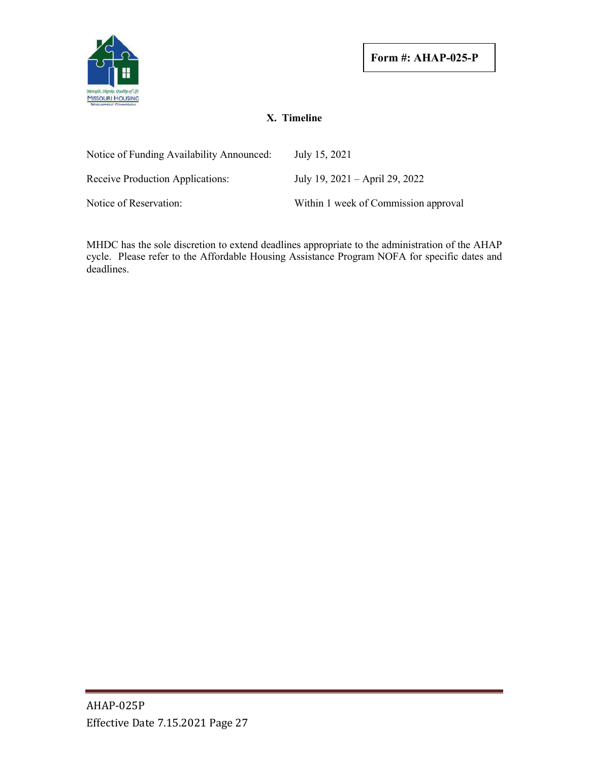

## **X. Timeline**

| Notice of Funding Availability Announced: | July 15, 2021                        |
|-------------------------------------------|--------------------------------------|
| Receive Production Applications:          | July 19, $2021 -$ April 29, 2022     |
| Notice of Reservation:                    | Within 1 week of Commission approval |

MHDC has the sole discretion to extend deadlines appropriate to the administration of the AHAP cycle. Please refer to the Affordable Housing Assistance Program NOFA for specific dates and deadlines.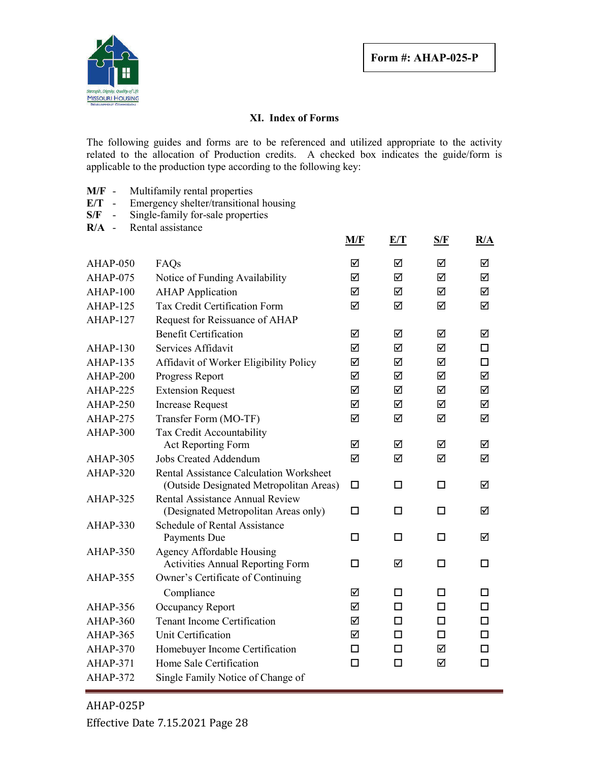

## **XI. Index of Forms**

The following guides and forms are to be referenced and utilized appropriate to the activity related to the allocation of Production credits. A checked box indicates the guide/form is applicable to the production type according to the following key:

- **M/F** Multifamily rental properties
- **E/T** Emergency shelter/transitional housing<br>S/F Single-family for-sale properties
- **Single-family for-sale properties**
- **R/A** Rental assistance

|                 |                                                                                           | M/F    | E/T    | S/F    | R/A    |
|-----------------|-------------------------------------------------------------------------------------------|--------|--------|--------|--------|
| $AHAP-050$      | FAQs                                                                                      | ☑      | ☑      | ☑      | ☑      |
| AHAP-075        | Notice of Funding Availability                                                            | ☑      | ☑      | ☑      | ☑      |
| AHAP-100        | <b>AHAP</b> Application                                                                   | ☑      | ☑      | ☑      | ☑      |
| AHAP-125        | Tax Credit Certification Form                                                             | ☑      | ☑      | ☑      | ☑      |
| AHAP-127        | Request for Reissuance of AHAP                                                            |        |        |        |        |
|                 | <b>Benefit Certification</b>                                                              | ☑      | ☑      | ☑      | ☑      |
| $AHAP-130$      | Services Affidavit                                                                        | ☑      | ☑      | ☑      | $\Box$ |
| <b>AHAP-135</b> | Affidavit of Worker Eligibility Policy                                                    | ☑      | ☑      | ☑      | □      |
| AHAP-200        | Progress Report                                                                           | ☑      | ☑      | ☑      | ☑      |
| $AHAP-225$      | <b>Extension Request</b>                                                                  | ☑      | ☑      | ☑      | ☑      |
| AHAP-250        | <b>Increase Request</b>                                                                   | ☑      | ☑      | ☑      | ☑      |
| AHAP-275        | Transfer Form (MO-TF)                                                                     | ☑      | ☑      | ☑      | ☑      |
| AHAP-300        | Tax Credit Accountability                                                                 |        |        |        |        |
|                 | Act Reporting Form                                                                        | ☑      | ☑      | ☑      | ☑      |
| AHAP-305        | <b>Jobs Created Addendum</b>                                                              | ☑      | ☑      | ☑      | ☑      |
| AHAP-320        | <b>Rental Assistance Calculation Worksheet</b><br>(Outside Designated Metropolitan Areas) | $\Box$ | $\Box$ | □      | ☑      |
| $AHAP-325$      | Rental Assistance Annual Review<br>(Designated Metropolitan Areas only)                   | □      | □      | □      | ☑      |
| AHAP-330        | Schedule of Rental Assistance<br>Payments Due                                             | □      | □      | п      | ☑      |
| AHAP-350        | Agency Affordable Housing<br><b>Activities Annual Reporting Form</b>                      | □      | ☑      | □      | □      |
| AHAP-355        | Owner's Certificate of Continuing                                                         |        |        |        |        |
|                 | Compliance                                                                                | ☑      | □      | □      | П      |
| AHAP-356        | Occupancy Report                                                                          | ☑      | п      | п      | □      |
| AHAP-360        | <b>Tenant Income Certification</b>                                                        | ☑      | □      | □      | □      |
| AHAP-365        | Unit Certification                                                                        | ☑      | □      | $\Box$ | □      |
| AHAP-370        | Homebuyer Income Certification                                                            | $\Box$ | П      | ☑      | $\Box$ |
| <b>AHAP-371</b> | Home Sale Certification                                                                   | □      | □      | ☑      | □      |
| AHAP-372        | Single Family Notice of Change of                                                         |        |        |        |        |
|                 |                                                                                           |        |        |        |        |

AHAP-025P